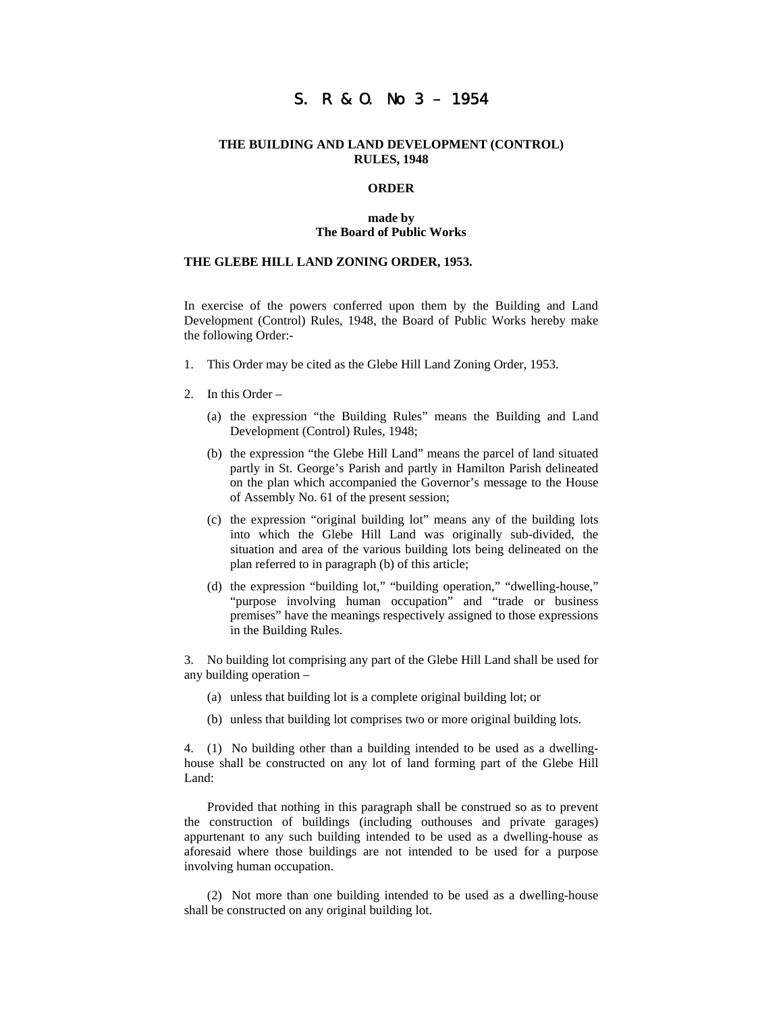# S. R & O. No 3 – 1954

## **THE BUILDING AND LAND DEVELOPMENT (CONTROL) RULES, 1948**

### **ORDER**

#### **made by The Board of Public Works**

#### **THE GLEBE HILL LAND ZONING ORDER, 1953.**

In exercise of the powers conferred upon them by the Building and Land Development (Control) Rules, 1948, the Board of Public Works hereby make the following Order:-

- 1. This Order may be cited as the Glebe Hill Land Zoning Order, 1953.
- 2. In this Order
	- (a) the expression "the Building Rules" means the Building and Land Development (Control) Rules, 1948;
	- (b) the expression "the Glebe Hill Land" means the parcel of land situated partly in St. George's Parish and partly in Hamilton Parish delineated on the plan which accompanied the Governor's message to the House of Assembly No. 61 of the present session;
	- (c) the expression "original building lot" means any of the building lots into which the Glebe Hill Land was originally sub-divided, the situation and area of the various building lots being delineated on the plan referred to in paragraph (b) of this article;
	- (d) the expression "building lot," "building operation," "dwelling-house," "purpose involving human occupation" and "trade or business premises" have the meanings respectively assigned to those expressions in the Building Rules.

3. No building lot comprising any part of the Glebe Hill Land shall be used for any building operation –

- (a) unless that building lot is a complete original building lot; or
- (b) unless that building lot comprises two or more original building lots.

4. (1) No building other than a building intended to be used as a dwellinghouse shall be constructed on any lot of land forming part of the Glebe Hill Land:

Provided that nothing in this paragraph shall be construed so as to prevent the construction of buildings (including outhouses and private garages) appurtenant to any such building intended to be used as a dwelling-house as aforesaid where those buildings are not intended to be used for a purpose involving human occupation.

(2) Not more than one building intended to be used as a dwelling-house shall be constructed on any original building lot.